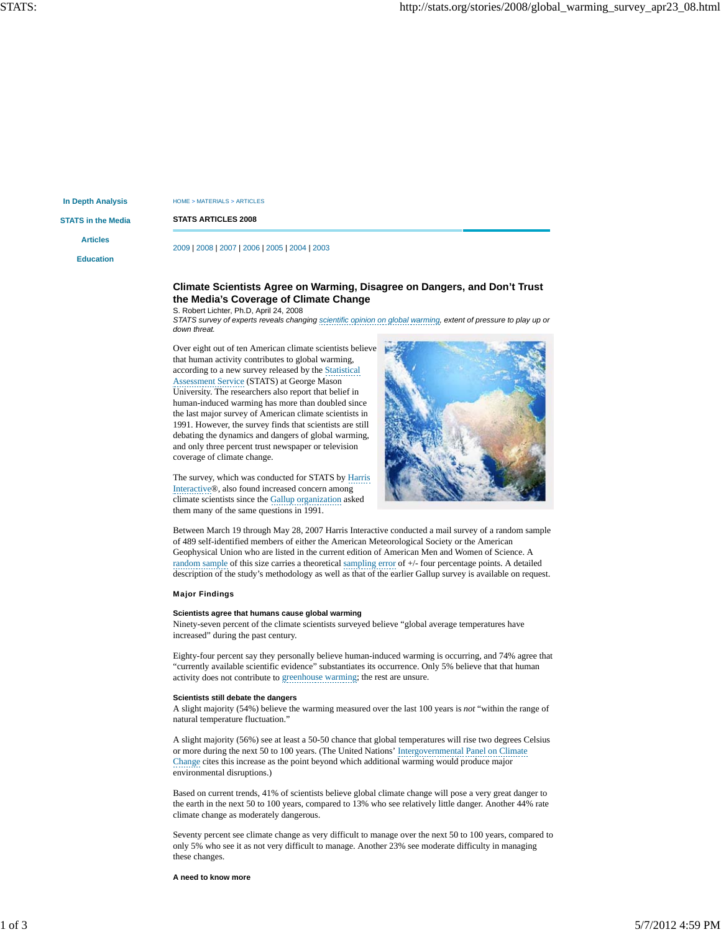**In Depth Analysis**

HOME > MATERIALS > ARTICLES

**STATS in the Media**

**Articles**

**Education**

**STATS ARTICLES 2008**

2009 | 2008 | 2007 | 2006 | 2005 | 2004 | 2003

# **Climate Scientists Agree on Warming, Disagree on Dangers, and Don't Trust the Media's Coverage of Climate Change**

S. Robert Lichter, Ph.D, April 24, 2008

*STATS survey of experts reveals changing scientific opinion on global warming, extent of pressure to play up or down threat.*

Over eight out of ten American climate scientists believe that human activity contributes to global warming, according to a new survey released by the Statistical Assessment Service (STATS) at George Mason University. The researchers also report that belief in human-induced warming has more than doubled since the last major survey of American climate scientists in 1991. However, the survey finds that scientists are still debating the dynamics and dangers of global warming, and only three percent trust newspaper or television coverage of climate change.



The survey, which was conducted for STATS by Harris Interactive®, also found increased concern among climate scientists since the Gallup organization asked them many of the same questions in 1991.

Between March 19 through May 28, 2007 Harris Interactive conducted a mail survey of a random sample of 489 self-identified members of either the American Meteorological Society or the American Geophysical Union who are listed in the current edition of American Men and Women of Science. A random sample of this size carries a theoretical sampling error of +/- four percentage points. A detailed description of the study's methodology as well as that of the earlier Gallup survey is available on request.

Major Findings

#### **Scientists agree that humans cause global warming**

Ninety-seven percent of the climate scientists surveyed believe "global average temperatures have increased" during the past century.

Eighty-four percent say they personally believe human-induced warming is occurring, and 74% agree that "currently available scientific evidence" substantiates its occurrence. Only 5% believe that that human activity does not contribute to greenhouse warming; the rest are unsure.

### **Scientists still debate the dangers**

A slight majority (54%) believe the warming measured over the last 100 years is *not* "within the range of natural temperature fluctuation."

A slight majority (56%) see at least a 50-50 chance that global temperatures will rise two degrees Celsius or more during the next 50 to 100 years. (The United Nations' Intergovernmental Panel on Climate Change cites this increase as the point beyond which additional warming would produce major environmental disruptions.)

Based on current trends, 41% of scientists believe global climate change will pose a very great danger to the earth in the next 50 to 100 years, compared to 13% who see relatively little danger. Another 44% rate climate change as moderately dangerous.

Seventy percent see climate change as very difficult to manage over the next 50 to 100 years, compared to only 5% who see it as not very difficult to manage. Another 23% see moderate difficulty in managing these changes.

**A need to know more**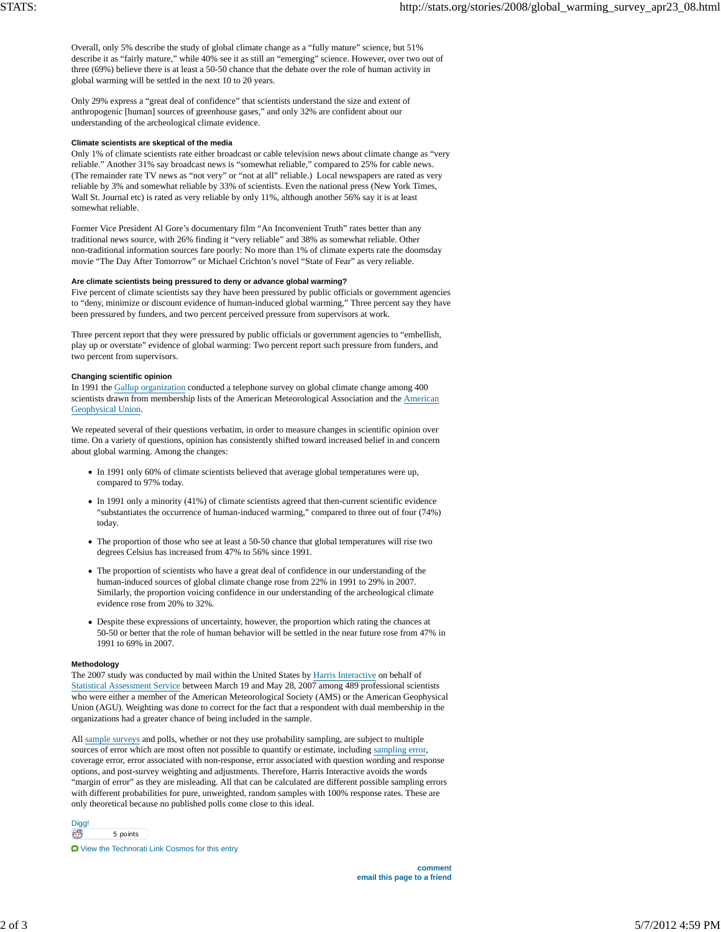Overall, only 5% describe the study of global climate change as a "fully mature" science, but 51% describe it as "fairly mature," while 40% see it as still an "emerging" science. However, over two out of three (69%) believe there is at least a 50-50 chance that the debate over the role of human activity in global warming will be settled in the next 10 to 20 years.

Only 29% express a "great deal of confidence" that scientists understand the size and extent of anthropogenic [human] sources of greenhouse gases," and only 32% are confident about our understanding of the archeological climate evidence.

#### **Climate scientists are skeptical of the media**

Only 1% of climate scientists rate either broadcast or cable television news about climate change as "very reliable." Another 31% say broadcast news is "somewhat reliable," compared to 25% for cable news. (The remainder rate TV news as "not very" or "not at all" reliable.) Local newspapers are rated as very reliable by 3% and somewhat reliable by 33% of scientists. Even the national press (New York Times, Wall St. Journal etc) is rated as very reliable by only 11%, although another 56% say it is at least somewhat reliable.

Former Vice President Al Gore's documentary film "An Inconvenient Truth" rates better than any traditional news source, with 26% finding it "very reliable" and 38% as somewhat reliable. Other non-traditional information sources fare poorly: No more than 1% of climate experts rate the doomsday movie "The Day After Tomorrow" or Michael Crichton's novel "State of Fear" as very reliable.

#### **Are climate scientists being pressured to deny or advance global warming?**

Five percent of climate scientists say they have been pressured by public officials or government agencies to "deny, minimize or discount evidence of human-induced global warming," Three percent say they have been pressured by funders, and two percent perceived pressure from supervisors at work.

Three percent report that they were pressured by public officials or government agencies to "embellish, play up or overstate" evidence of global warming: Two percent report such pressure from funders, and two percent from supervisors.

## **Changing scientific opinion**

In 1991 the Gallup organization conducted a telephone survey on global climate change among 400 scientists drawn from membership lists of the American Meteorological Association and the American Geophysical Union.

We repeated several of their questions verbatim, in order to measure changes in scientific opinion over time. On a variety of questions, opinion has consistently shifted toward increased belief in and concern about global warming. Among the changes:

- In 1991 only 60% of climate scientists believed that average global temperatures were up, compared to 97% today.
- In 1991 only a minority (41%) of climate scientists agreed that then-current scientific evidence "substantiates the occurrence of human-induced warming," compared to three out of four (74%) today.
- The proportion of those who see at least a 50-50 chance that global temperatures will rise two degrees Celsius has increased from 47% to 56% since 1991.
- The proportion of scientists who have a great deal of confidence in our understanding of the human-induced sources of global climate change rose from 22% in 1991 to 29% in 2007. Similarly, the proportion voicing confidence in our understanding of the archeological climate evidence rose from 20% to 32%.
- Despite these expressions of uncertainty, however, the proportion which rating the chances at 50-50 or better that the role of human behavior will be settled in the near future rose from 47% in 1991 to 69% in 2007.

#### **Methodology**

The 2007 study was conducted by mail within the United States by Harris Interactive on behalf of Statistical Assessment Service between March 19 and May 28, 2007 among 489 professional scientists who were either a member of the American Meteorological Society (AMS) or the American Geophysical Union (AGU). Weighting was done to correct for the fact that a respondent with dual membership in the organizations had a greater chance of being included in the sample.

All sample surveys and polls, whether or not they use probability sampling, are subject to multiple sources of error which are most often not possible to quantify or estimate, including sampling error, coverage error, error associated with non-response, error associated with question wording and response options, and post-survey weighting and adjustments. Therefore, Harris Interactive avoids the words "margin of error" as they are misleading. All that can be calculated are different possible sampling errors with different probabilities for pure, unweighted, random samples with 100% response rates. These are only theoretical because no published polls come close to this ideal.

Digg! G 5 points

View the Technorati Link Cosmos for this entry

**comment email this page to a friend**